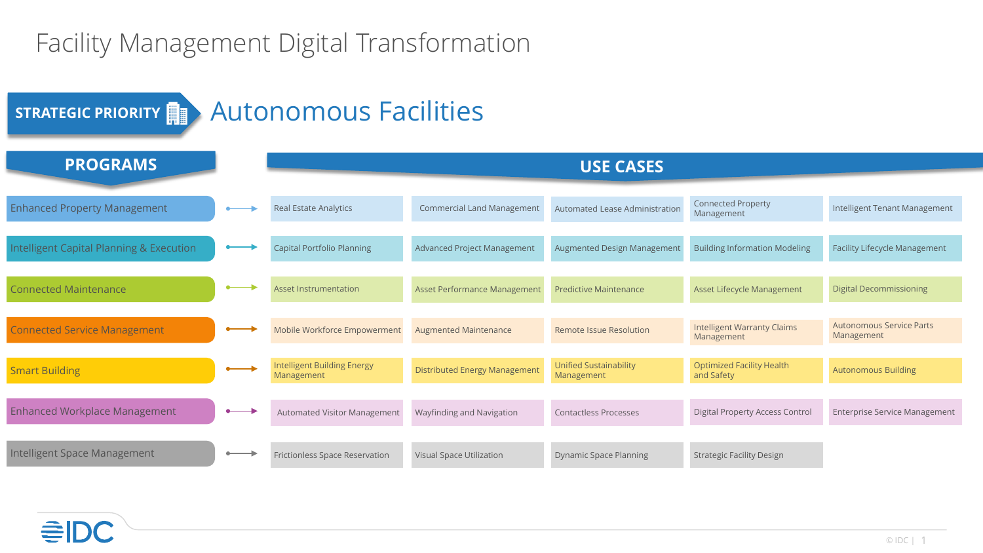## Facility Management Digital Transformation

| STRATEGIC PRIORITY <b>EXACTLA AUTONOMICAL FACILITIES</b> |  |                                                  |                                      |                                             |                                                  |                                               |
|----------------------------------------------------------|--|--------------------------------------------------|--------------------------------------|---------------------------------------------|--------------------------------------------------|-----------------------------------------------|
| <b>PROGRAMS</b>                                          |  | <b>USE CASES</b>                                 |                                      |                                             |                                                  |                                               |
| <b>Enhanced Property Management</b>                      |  | Real Estate Analytics                            | <b>Commercial Land Management</b>    | Automated Lease Administration              | <b>Connected Property</b><br>Management          | Intelligent Tenant Management                 |
| Intelligent Capital Planning & Execution                 |  | <b>Capital Portfolio Planning</b>                | <b>Advanced Project Management</b>   | Augmented Design Management                 | <b>Building Information Modeling</b>             | <b>Facility Lifecycle Management</b>          |
| <b>Connected Maintenance</b>                             |  | <b>Asset Instrumentation</b>                     | Asset Performance Management         | <b>Predictive Maintenance</b>               | Asset Lifecycle Management                       | <b>Digital Decommissioning</b>                |
| <b>Connected Service Management</b>                      |  | Mobile Workforce Empowerment                     | <b>Augmented Maintenance</b>         | <b>Remote Issue Resolution</b>              | <b>Intelligent Warranty Claims</b><br>Management | <b>Autonomous Service Parts</b><br>Management |
| <b>Smart Building</b>                                    |  | <b>Intelligent Building Energy</b><br>Management | <b>Distributed Energy Management</b> | <b>Unified Sustainability</b><br>Management | <b>Optimized Facility Health</b><br>and Safety   | <b>Autonomous Building</b>                    |
| <b>Enhanced Workplace Management</b>                     |  | Automated Visitor Management                     | Wayfinding and Navigation            | <b>Contactless Processes</b>                | <b>Digital Property Access Control</b>           | <b>Enterprise Service Management</b>          |
| Intelligent Space Management                             |  | Frictionless Space Reservation                   | Visual Space Utilization             | <b>Dynamic Space Planning</b>               | <b>Strategic Facility Design</b>                 |                                               |